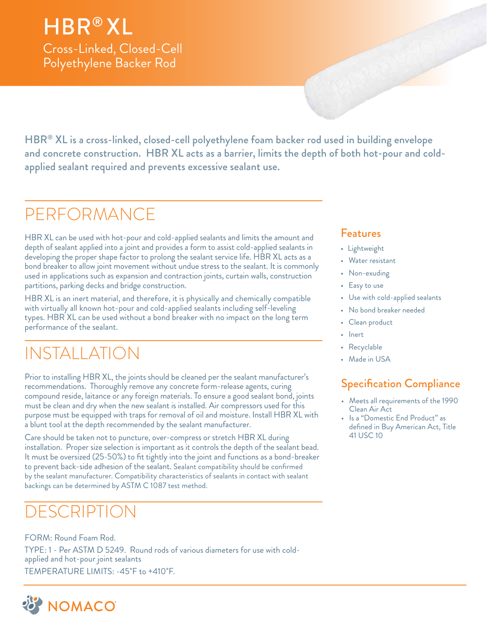## HBR® XL

Cross-Linked, Closed-Cell Polyethylene Backer Rod

HBR® XL is a cross-linked, closed-cell polyethylene foam backer rod used in building envelope and concrete construction. HBR XL acts as a barrier, limits the depth of both hot-pour and coldapplied sealant required and prevents excessive sealant use.

## PERFORMANCE

HBR XL can be used with hot-pour and cold-applied sealants and limits the amount and depth of sealant applied into a joint and provides a form to assist cold-applied sealants in developing the proper shape factor to prolong the sealant service life. HBR XL acts as a bond breaker to allow joint movement without undue stress to the sealant. It is commonly used in applications such as expansion and contraction joints, curtain walls, construction partitions, parking decks and bridge construction.

HBR XL is an inert material, and therefore, it is physically and chemically compatible with virtually all known hot-pour and cold-applied sealants including self-leveling types. HBR XL can be used without a bond breaker with no impact on the long term performance of the sealant.

## INSTALLATION

Prior to installing HBR XL, the joints should be cleaned per the sealant manufacturer's recommendations. Thoroughly remove any concrete form-release agents, curing compound reside, laitance or any foreign materials. To ensure a good sealant bond, joints must be clean and dry when the new sealant is installed. Air compressors used for this purpose must be equipped with traps for removal of oil and moisture. Install HBR XL with a blunt tool at the depth recommended by the sealant manufacturer.

Care should be taken not to puncture, over-compress or stretch HBR XL during installation. Proper size selection is important as it controls the depth of the sealant bead. It must be oversized (25-50%) to fit tightly into the joint and functions as a bond-breaker to prevent back-side adhesion of the sealant. Sealant compatibility should be confirmed by the sealant manufacturer. Compatibility characteristics of sealants in contact with sealant backings can be determined by ASTM C 1087 test method.

### DESCRIPTION

FORM: Round Foam Rod. TYPE: 1 - Per ASTM D 5249. Round rods of various diameters for use with coldapplied and hot-pour joint sealants TEMPERATURE LIMITS: -45˚F to +410˚F.



#### Features

- Lightweight
- Water resistant
- Non-exuding
- Easy to use
- Use with cold-applied sealants
- No bond breaker needed
- Clean product
- Inert
- Recyclable
- Made in USA

### Specification Compliance

- Meets all requirements of the 1990 Clean Air Act
- Is a "Domestic End Product" as defined in Buy American Act, Title 41 USC 10